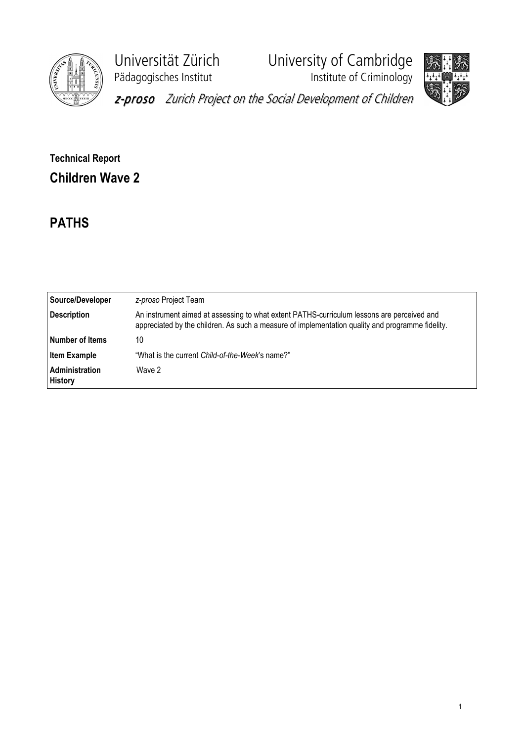

Pädagogisches Institut **Institute of Criminology** 

Universität Zürich University of Cambridge



z-proso Zurich Project on the Social Development of Children

## Technical Report Children Wave 2

## PATHS

| Source/Developer                 | z-proso Project Team                                                                                                                                                                           |
|----------------------------------|------------------------------------------------------------------------------------------------------------------------------------------------------------------------------------------------|
| <b>Description</b>               | An instrument aimed at assessing to what extent PATHS-curriculum lessons are perceived and<br>appreciated by the children. As such a measure of implementation quality and programme fidelity. |
| Number of Items                  | 10                                                                                                                                                                                             |
| <b>Item Example</b>              | "What is the current Child-of-the-Week's name?"                                                                                                                                                |
| Administration<br><b>History</b> | Wave 2                                                                                                                                                                                         |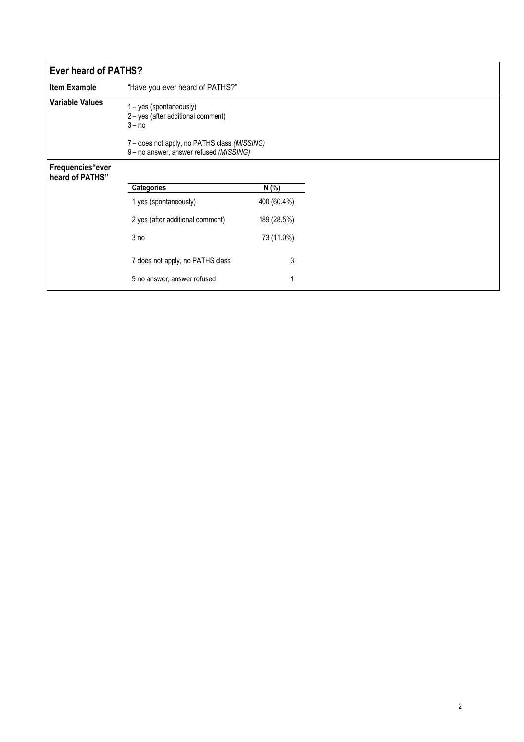| <b>Ever heard of PATHS?</b>         |                                                                                         |             |
|-------------------------------------|-----------------------------------------------------------------------------------------|-------------|
| <b>Item Example</b>                 | "Have you ever heard of PATHS?"                                                         |             |
| <b>Variable Values</b>              | 1 - yes (spontaneously)<br>2 - yes (after additional comment)<br>$3 - no$               |             |
|                                     | 7 - does not apply, no PATHS class (MISSING)<br>9 - no answer, answer refused (MISSING) |             |
| Frequencies"ever<br>heard of PATHS" |                                                                                         |             |
|                                     | Categories                                                                              | N (%)       |
|                                     | 1 yes (spontaneously)                                                                   | 400 (60.4%) |
|                                     | 2 yes (after additional comment)                                                        | 189 (28.5%) |
|                                     | 3 no                                                                                    | 73 (11.0%)  |
|                                     | 7 does not apply, no PATHS class                                                        | 3           |
|                                     | 9 no answer, answer refused                                                             | 1           |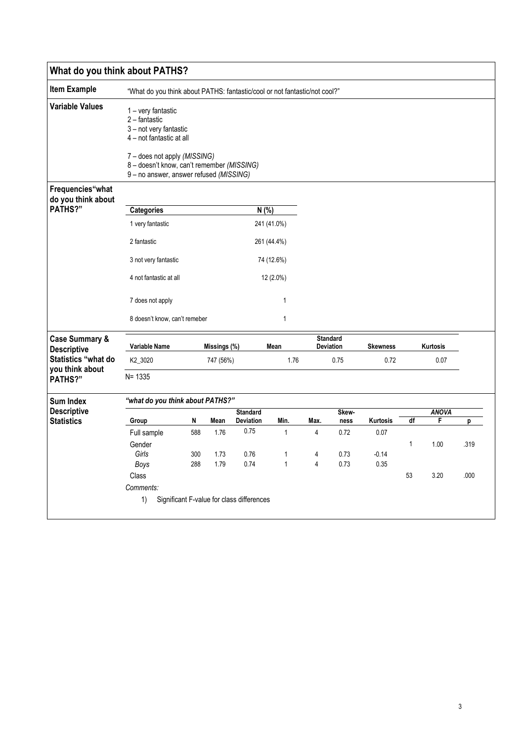| What do you think about PATHS?                  |                                                                                                                                                                                                                    |     |              |                   |              |                |                                     |                 |          |              |      |
|-------------------------------------------------|--------------------------------------------------------------------------------------------------------------------------------------------------------------------------------------------------------------------|-----|--------------|-------------------|--------------|----------------|-------------------------------------|-----------------|----------|--------------|------|
| <b>Item Example</b>                             | "What do you think about PATHS: fantastic/cool or not fantastic/not cool?"                                                                                                                                         |     |              |                   |              |                |                                     |                 |          |              |      |
| <b>Variable Values</b>                          | 1 – very fantastic<br>2 - fantastic<br>3 - not very fantastic<br>4 – not fantastic at all<br>7 - does not apply (MISSING)<br>8 - doesn't know, can't remember (MISSING)<br>9 - no answer, answer refused (MISSING) |     |              |                   |              |                |                                     |                 |          |              |      |
| Frequencies"what                                |                                                                                                                                                                                                                    |     |              |                   |              |                |                                     |                 |          |              |      |
| do you think about                              |                                                                                                                                                                                                                    |     |              |                   |              |                |                                     |                 |          |              |      |
| PATHS?"                                         | <b>Categories</b>                                                                                                                                                                                                  |     |              |                   | N(% )        |                |                                     |                 |          |              |      |
|                                                 | 1 very fantastic                                                                                                                                                                                                   |     |              |                   | 241 (41.0%)  |                |                                     |                 |          |              |      |
|                                                 | 2 fantastic                                                                                                                                                                                                        |     |              |                   | 261 (44.4%)  |                |                                     |                 |          |              |      |
|                                                 | 3 not very fantastic                                                                                                                                                                                               |     |              |                   | 74 (12.6%)   |                |                                     |                 |          |              |      |
|                                                 | 4 not fantastic at all                                                                                                                                                                                             |     |              | 12 (2.0%)         |              |                |                                     |                 |          |              |      |
|                                                 | 7 does not apply                                                                                                                                                                                                   |     |              |                   | 1            |                |                                     |                 |          |              |      |
|                                                 | 8 doesn't know, can't remeber                                                                                                                                                                                      |     |              |                   | 1            |                |                                     |                 |          |              |      |
| <b>Case Summary &amp;</b><br><b>Descriptive</b> | Variable Name                                                                                                                                                                                                      |     | Missings (%) |                   | Mean         |                | <b>Standard</b><br><b>Deviation</b> | <b>Skewness</b> | Kurtosis |              |      |
| Statistics "what do                             | K2_3020                                                                                                                                                                                                            |     | 747 (56%)    |                   | 1.76         |                | 0.75                                | 0.72            |          | 0.07         |      |
| you think about<br><b>PATHS?"</b>               | $N = 1335$                                                                                                                                                                                                         |     |              |                   |              |                |                                     |                 |          |              |      |
| <b>Sum Index</b>                                | "what do you think about PATHS?"                                                                                                                                                                                   |     |              |                   |              |                |                                     |                 |          |              |      |
| <b>Descriptive</b>                              |                                                                                                                                                                                                                    |     |              | <b>Standard</b>   |              |                | Skew-                               |                 |          | <b>ANOVA</b> |      |
| <b>Statistics</b>                               | Group                                                                                                                                                                                                              | N   | Mean         | Deviation<br>0.75 | Min.         | Max.           | ness                                | Kurtosis        | df       | F            | p    |
|                                                 | Full sample                                                                                                                                                                                                        | 588 | 1.76         |                   | $\mathbf{1}$ | $\overline{4}$ | 0.72                                | 0.07            |          |              |      |
|                                                 | Gender<br>Girls                                                                                                                                                                                                    | 300 | 1.73         | 0.76              | 1            | 4              | 0.73                                | $-0.14$         | 1        | 1.00         | .319 |
|                                                 | Boys                                                                                                                                                                                                               | 288 | 1.79         | 0.74              | $\mathbf{1}$ | 4              | 0.73                                | 0.35            |          |              |      |
|                                                 | Class                                                                                                                                                                                                              |     |              |                   |              |                |                                     |                 | 53       | 3.20         | .000 |
|                                                 |                                                                                                                                                                                                                    |     |              |                   |              |                |                                     |                 |          |              |      |
|                                                 | Comments:                                                                                                                                                                                                          |     |              |                   |              |                |                                     |                 |          |              |      |
|                                                 | 1)<br>Significant F-value for class differences                                                                                                                                                                    |     |              |                   |              |                |                                     |                 |          |              |      |
|                                                 |                                                                                                                                                                                                                    |     |              |                   |              |                |                                     |                 |          |              |      |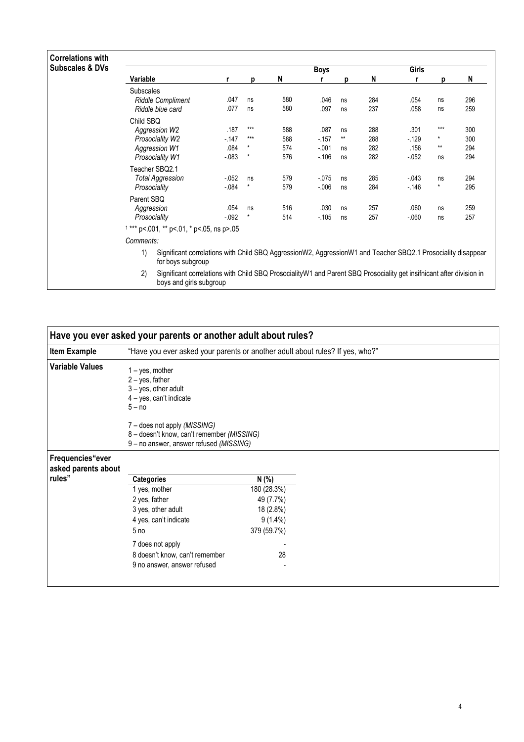| <b>Correlations with</b><br><b>Subscales &amp; DVs</b> |                                                                                                                                                       |                                                                                                                                   |                     |                          |                                     |                                |                          |                                  |                               |                          |  |  |
|--------------------------------------------------------|-------------------------------------------------------------------------------------------------------------------------------------------------------|-----------------------------------------------------------------------------------------------------------------------------------|---------------------|--------------------------|-------------------------------------|--------------------------------|--------------------------|----------------------------------|-------------------------------|--------------------------|--|--|
|                                                        | Variable                                                                                                                                              | r                                                                                                                                 | p                   | N                        | <b>Boys</b>                         | р                              | N                        | Girls<br>r                       | p                             | N                        |  |  |
|                                                        | <b>Subscales</b><br><b>Riddle Compliment</b><br>Riddle blue card                                                                                      | .047<br>.077                                                                                                                      | ns<br>ns            | 580<br>580               | .046<br>.097                        | ns<br>ns                       | 284<br>237               | .054<br>.058                     | ns<br>ns                      | 296<br>259               |  |  |
|                                                        | Child SBQ<br>Aggression W2<br>Prosociality W2<br>Aggression W1<br>Prosociality W1                                                                     | .187<br>$-147$<br>.084<br>$-0.083$                                                                                                | $***$<br>$***$<br>* | 588<br>588<br>574<br>576 | .087<br>$-157$<br>$-.001$<br>$-106$ | ns<br>$\star\star$<br>ns<br>ns | 288<br>288<br>282<br>282 | .301<br>$-129$<br>.156<br>$-052$ | ***<br>$^{\star}$<br>**<br>ns | 300<br>300<br>294<br>294 |  |  |
|                                                        | Teacher SBQ2.1<br><b>Total Aggression</b><br>Prosociality                                                                                             | $-052$<br>$-0.084$                                                                                                                | ns                  | 579<br>579               | $-0.075$<br>$-006$                  | ns<br>ns                       | 285<br>284               | $-043$<br>$-146$                 | ns<br>$\star$                 | 294<br>295               |  |  |
|                                                        | Parent SBQ<br>Aggression<br>Prosociality                                                                                                              | .054<br>$-0.092$                                                                                                                  | ns<br>$\star$       | 516<br>514               | .030<br>$-105$                      | ns<br>ns                       | 257<br>257               | .060<br>$-060$                   | ns<br>ns                      | 259<br>257               |  |  |
|                                                        | Comments:                                                                                                                                             | $1***$ p<.001, ** p<.01, * p<.05, ns p>.05                                                                                        |                     |                          |                                     |                                |                          |                                  |                               |                          |  |  |
|                                                        | 1)                                                                                                                                                    | Significant correlations with Child SBQ AggressionW2, AggressionW1 and Teacher SBQ2.1 Prosociality disappear<br>for boys subgroup |                     |                          |                                     |                                |                          |                                  |                               |                          |  |  |
|                                                        | 2)<br>Significant correlations with Child SBQ ProsocialityW1 and Parent SBQ Prosociality get insifnicant after division in<br>boys and girls subgroup |                                                                                                                                   |                     |                          |                                     |                                |                          |                                  |                               |                          |  |  |

|                                         | Have you ever asked your parents or another adult about rules?                                                                                                                                                                      |             |  |
|-----------------------------------------|-------------------------------------------------------------------------------------------------------------------------------------------------------------------------------------------------------------------------------------|-------------|--|
| <b>Item Example</b>                     | "Have you ever asked your parents or another adult about rules? If yes, who?"                                                                                                                                                       |             |  |
| <b>Variable Values</b>                  | $1 - yes$ , mother<br>$2 - yes$ , father<br>$3 - yes$ , other adult<br>4 - yes, can't indicate<br>$5 - no$<br>7 - does not apply (MISSING)<br>8 - doesn't know, can't remember (MISSING)<br>9 - no answer, answer refused (MISSING) |             |  |
| Frequencies"ever<br>asked parents about |                                                                                                                                                                                                                                     |             |  |
| rules"                                  | <b>Categories</b>                                                                                                                                                                                                                   | N (%)       |  |
|                                         | 1 yes, mother                                                                                                                                                                                                                       | 180 (28.3%) |  |
|                                         | 2 yes, father                                                                                                                                                                                                                       | 49 (7.7%)   |  |
|                                         | 3 yes, other adult                                                                                                                                                                                                                  | 18 (2.8%)   |  |
|                                         | 4 yes, can't indicate                                                                                                                                                                                                               | $9(1.4\%)$  |  |
|                                         | 5 <sub>no</sub>                                                                                                                                                                                                                     | 379 (59.7%) |  |
|                                         | 7 does not apply                                                                                                                                                                                                                    |             |  |
|                                         | 8 doesn't know, can't remember                                                                                                                                                                                                      | 28          |  |
|                                         |                                                                                                                                                                                                                                     |             |  |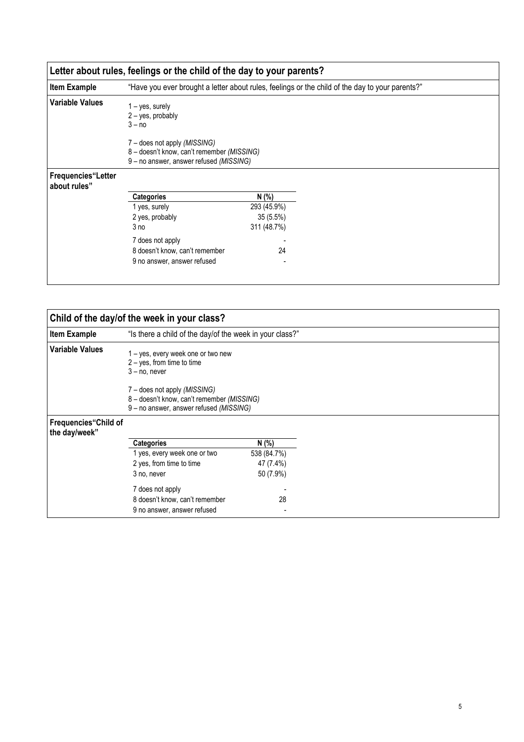|                                    | Letter about rules, feelings or the child of the day to your parents?                                                        |             |                                                                                                 |
|------------------------------------|------------------------------------------------------------------------------------------------------------------------------|-------------|-------------------------------------------------------------------------------------------------|
| <b>Item Example</b>                |                                                                                                                              |             | "Have you ever brought a letter about rules, feelings or the child of the day to your parents?" |
| Variable Values                    | $1 - yes$ , surely<br>$2 - yes$ , probably<br>$3 - no$                                                                       |             |                                                                                                 |
|                                    | 7 – does not apply <i>(MISSING)</i><br>8 - doesn't know, can't remember (MISSING)<br>9 - no answer, answer refused (MISSING) |             |                                                                                                 |
| Frequencies"Letter<br>about rules" |                                                                                                                              |             |                                                                                                 |
|                                    | <b>Categories</b>                                                                                                            | N (%)       |                                                                                                 |
|                                    | 1 yes, surely                                                                                                                | 293 (45.9%) |                                                                                                 |
|                                    | 2 yes, probably                                                                                                              | 35(5.5%)    |                                                                                                 |
|                                    | 3 no                                                                                                                         | 311 (48.7%) |                                                                                                 |
|                                    | 7 does not apply                                                                                                             |             |                                                                                                 |
|                                    | 8 doesn't know, can't remember<br>9 no answer, answer refused                                                                | 24          |                                                                                                 |
|                                    |                                                                                                                              |             |                                                                                                 |

|                                               | Child of the day/of the week in your class?                                                                                                                           |             |
|-----------------------------------------------|-----------------------------------------------------------------------------------------------------------------------------------------------------------------------|-------------|
| <b>Item Example</b>                           | "Is there a child of the day/of the week in your class?"                                                                                                              |             |
| <b>Variable Values</b>                        | 1 – yes, every week one or two new<br>$2 - yes$ , from time to time<br>$3 - no$ , never<br>7 – does not apply (MISSING)<br>8 - doesn't know, can't remember (MISSING) |             |
|                                               | 9 - no answer, answer refused (MISSING)                                                                                                                               |             |
| <b>Frequencies</b> "Child of<br>the day/week" |                                                                                                                                                                       |             |
|                                               | <b>Categories</b>                                                                                                                                                     | N (%)       |
|                                               | 1 yes, every week one or two                                                                                                                                          | 538 (84.7%) |
|                                               | 2 yes, from time to time                                                                                                                                              | 47 (7.4%)   |
|                                               | 3 no, never                                                                                                                                                           | 50 (7.9%)   |
|                                               | 7 does not apply                                                                                                                                                      |             |
|                                               | 8 doesn't know, can't remember                                                                                                                                        | 28          |
|                                               | 9 no answer, answer refused                                                                                                                                           |             |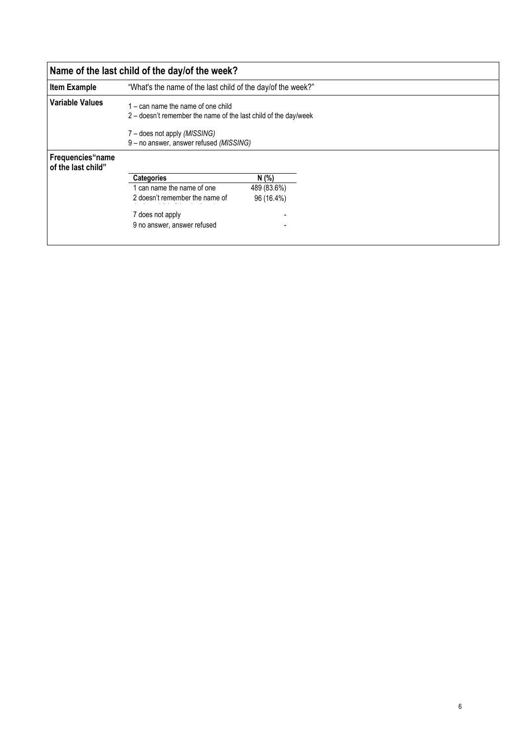|                                        | Name of the last child of the day/of the week?                                                                                                                                     |  |  |  |  |  |  |  |  |
|----------------------------------------|------------------------------------------------------------------------------------------------------------------------------------------------------------------------------------|--|--|--|--|--|--|--|--|
| <b>Item Example</b>                    | "What's the name of the last child of the day/of the week?"                                                                                                                        |  |  |  |  |  |  |  |  |
| <b>Variable Values</b>                 | $1 -$ can name the name of one child<br>2 – doesn't remember the name of the last child of the day/week<br>7 – does not apply (MISSING)<br>9 - no answer, answer refused (MISSING) |  |  |  |  |  |  |  |  |
| Frequencies"name<br>of the last child" | N (%)<br><b>Categories</b><br>can name the name of one<br>489 (83.6%)<br>2 doesn't remember the name of<br>96 (16.4%)<br>7 does not apply<br>9 no answer, answer refused           |  |  |  |  |  |  |  |  |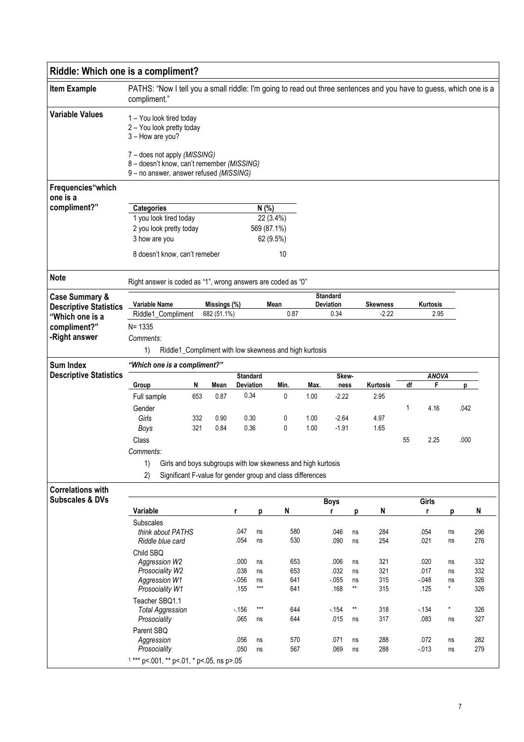| Riddle: Which one is a compliment?               |                                                                                                                                    |     |              |                                     |             |            |              |                                     |                 |                  |    |                |         |            |  |
|--------------------------------------------------|------------------------------------------------------------------------------------------------------------------------------------|-----|--------------|-------------------------------------|-------------|------------|--------------|-------------------------------------|-----------------|------------------|----|----------------|---------|------------|--|
| <b>Item Example</b>                              | PATHS: "Now I tell you a small riddle: I'm going to read out three sentences and you have to guess, which one is a<br>compliment." |     |              |                                     |             |            |              |                                     |                 |                  |    |                |         |            |  |
| <b>Variable Values</b>                           | 1 - You look tired today<br>2 - You look pretty today<br>3 - How are you?<br>7 - does not apply (MISSING)                          |     |              |                                     |             |            |              |                                     |                 |                  |    |                |         |            |  |
|                                                  | 8 - doesn't know, can't remember (MISSING)<br>9 - no answer, answer refused (MISSING)                                              |     |              |                                     |             |            |              |                                     |                 |                  |    |                |         |            |  |
| Frequencies"which<br>one is a                    |                                                                                                                                    |     |              |                                     |             |            |              |                                     |                 |                  |    |                |         |            |  |
| compliment?"                                     | <b>Categories</b>                                                                                                                  |     |              |                                     | N(% )       |            |              |                                     |                 |                  |    |                |         |            |  |
|                                                  | 1 you look tired today<br>22 (3.4%)<br>2 you look pretty today<br>569 (87.1%)                                                      |     |              |                                     |             |            |              |                                     |                 |                  |    |                |         |            |  |
|                                                  | 3 how are you                                                                                                                      |     |              |                                     |             | 62 (9.5%)  |              |                                     |                 |                  |    |                |         |            |  |
|                                                  | 8 doesn't know, can't remeber                                                                                                      |     |              |                                     |             | 10         |              |                                     |                 |                  |    |                |         |            |  |
| <b>Note</b>                                      | Right answer is coded as "1", wrong answers are coded as "0"                                                                       |     |              |                                     |             |            |              |                                     |                 |                  |    |                |         |            |  |
| <b>Case Summary &amp;</b>                        | <b>Variable Name</b><br>Missings (%)                                                                                               |     |              |                                     |             | Mean       |              | <b>Standard</b><br><b>Deviation</b> |                 | <b>Skewness</b>  |    | Kurtosis       |         |            |  |
| <b>Descriptive Statistics</b><br>"Which one is a | Riddle1_Compliment                                                                                                                 |     | 682 (51.1%)  |                                     |             | 0.87       |              | 0.34                                |                 | $-2.22$          |    | 2.95           |         |            |  |
| compliment?"                                     | $N = 1335$                                                                                                                         |     |              |                                     |             |            |              |                                     |                 |                  |    |                |         |            |  |
| -Right answer                                    | Comments:                                                                                                                          |     |              |                                     |             |            |              |                                     |                 |                  |    |                |         |            |  |
|                                                  | 1)<br>Riddle1_Compliment with low skewness and high kurtosis                                                                       |     |              |                                     |             |            |              |                                     |                 |                  |    |                |         |            |  |
| <b>Sum Index</b>                                 | "Which one is a compliment?"                                                                                                       |     |              |                                     |             |            |              |                                     |                 |                  |    |                |         |            |  |
| <b>Descriptive Statistics</b>                    |                                                                                                                                    | N   |              | <b>Standard</b><br><b>Deviation</b> |             |            |              | Skew-                               |                 |                  |    | <b>ANOVA</b>   |         |            |  |
|                                                  | Group<br>Full sample                                                                                                               | 653 | Mean<br>0.87 | 0.34                                |             | Min.<br>0  | Max.<br>1.00 | ness<br>$-2.22$                     |                 | Kurtosis<br>2.95 | df | F              |         | p          |  |
|                                                  | Gender                                                                                                                             |     |              |                                     |             |            |              |                                     |                 |                  | 1  | 4.16           |         | .042       |  |
|                                                  | Girls                                                                                                                              | 332 | 0.90         | 0.30                                |             | 0          | 1.00         | $-2.64$                             |                 | 4.97             |    |                |         |            |  |
|                                                  | Boys                                                                                                                               | 321 | 0.84         | 0.36                                |             | 0          | 1.00         | $-1.91$                             |                 | 1.65             |    |                |         |            |  |
|                                                  | Class                                                                                                                              |     |              |                                     |             |            |              |                                     |                 |                  | 55 | 2.25           |         | .000       |  |
|                                                  | Comments:                                                                                                                          |     |              |                                     |             |            |              |                                     |                 |                  |    |                |         |            |  |
|                                                  | Girls and boys subgroups with low skewness and high kurtosis<br>1)                                                                 |     |              |                                     |             |            |              |                                     |                 |                  |    |                |         |            |  |
|                                                  | 2)<br>Significant F-value for gender group and class differences                                                                   |     |              |                                     |             |            |              |                                     |                 |                  |    |                |         |            |  |
| <b>Correlations with</b>                         |                                                                                                                                    |     |              |                                     |             |            |              |                                     |                 |                  |    |                |         |            |  |
| <b>Subscales &amp; DVs</b>                       | Variable                                                                                                                           |     |              | r                                   | p           | N          |              | <b>Boys</b><br>r                    | p               | N                |    | Girls<br>r     | р       | N          |  |
|                                                  | <b>Subscales</b>                                                                                                                   |     |              |                                     |             |            |              |                                     |                 |                  |    |                |         |            |  |
|                                                  | think about PATHS                                                                                                                  |     |              | .047                                | ns          | 580        |              | .046                                | ns              | 284              |    | .054           | ns      | 296        |  |
|                                                  | Riddle blue card                                                                                                                   |     |              | .054                                | ns          | 530        |              | .090                                | ns              | 254              |    | .021           | ns      | 276        |  |
|                                                  | Child SBQ<br>Aggression W2                                                                                                         |     |              | .000                                | ns          | 653        |              | .006                                | ns              | 321              |    | .020           | ns      | 332        |  |
|                                                  | Prosociality W2                                                                                                                    |     |              | .038                                | ns          | 653        |              | .032                                | ns              | 321              |    | .017           | ns      | 332        |  |
|                                                  | Aggression W1                                                                                                                      |     |              | $-056$                              | ns          | 641        |              | $-0.055$                            | ns              | 315              |    | $-0.048$       | ns      | 326        |  |
|                                                  | Prosociality W1                                                                                                                    |     |              | .155                                | $***$       | 641        |              | .168                                | $^{\star\star}$ | 315              |    | .125           | *.      | 326        |  |
|                                                  | Teacher SBQ1.1<br><b>Total Aggression</b><br>Prosociality                                                                          |     |              | $-156$<br>.065                      | $***$<br>ns | 644<br>644 |              | $-154$<br>.015                      | $**$<br>ns      | 318<br>317       |    | $-134$<br>.083 | ×<br>ns | 326<br>327 |  |
|                                                  | Parent SBQ                                                                                                                         |     |              |                                     |             |            |              |                                     |                 |                  |    |                |         |            |  |
|                                                  | Aggression                                                                                                                         |     |              | .056                                | ns          | 570        |              | .071                                | ns              | 288              |    | .072           | ns      | 282        |  |
|                                                  | Prosociality                                                                                                                       |     |              | .050                                | ns          | 567        |              | .069                                | ns              | 288              |    | $-0.013$       | ns      | 279        |  |
|                                                  | $1***$ p<.001, ** p<.01, * p<.05, ns p>.05                                                                                         |     |              |                                     |             |            |              |                                     |                 |                  |    |                |         |            |  |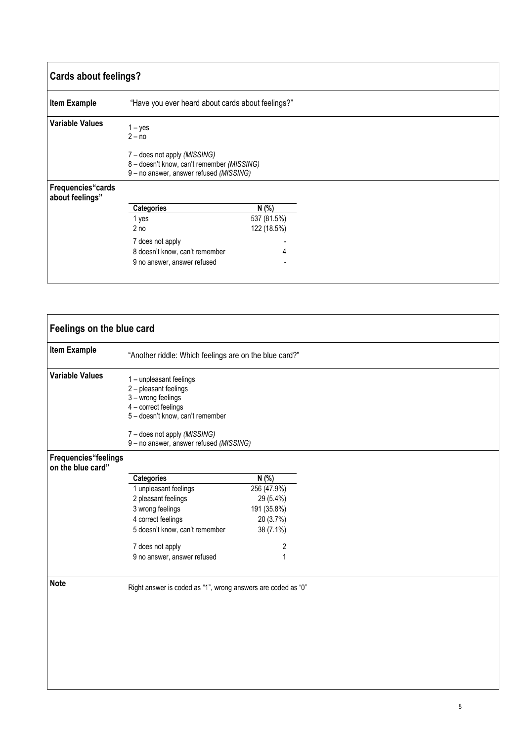| <b>Cards about feelings?</b>         |                                                                                                                                                |             |
|--------------------------------------|------------------------------------------------------------------------------------------------------------------------------------------------|-------------|
| <b>Item Example</b>                  | "Have you ever heard about cards about feelings?"                                                                                              |             |
| <b>Variable Values</b>               | $1 - yes$<br>$2 - no$<br>7 – does not apply (MISSING)<br>8 - doesn't know, can't remember (MISSING)<br>9 - no answer, answer refused (MISSING) |             |
| Frequencies"cards<br>about feelings" |                                                                                                                                                |             |
|                                      | <b>Categories</b>                                                                                                                              | N (%)       |
|                                      | 1 yes                                                                                                                                          | 537 (81.5%) |
|                                      | 2 <sub>no</sub>                                                                                                                                | 122 (18.5%) |
|                                      | 7 does not apply                                                                                                                               |             |
|                                      | 8 doesn't know, can't remember                                                                                                                 |             |
|                                      | 9 no answer, answer refused                                                                                                                    |             |

| Feelings on the blue card                 |                                                                                                                                                                    |                |  |  |
|-------------------------------------------|--------------------------------------------------------------------------------------------------------------------------------------------------------------------|----------------|--|--|
| <b>Item Example</b>                       | "Another riddle: Which feelings are on the blue card?"                                                                                                             |                |  |  |
| <b>Variable Values</b>                    | 1 - unpleasant feelings<br>2 - pleasant feelings<br>3 - wrong feelings<br>4 - correct feelings<br>5 - doesn't know, can't remember<br>7 - does not apply (MISSING) |                |  |  |
|                                           | 9 - no answer, answer refused (MISSING)                                                                                                                            |                |  |  |
| Frequencies"feelings<br>on the blue card" |                                                                                                                                                                    |                |  |  |
|                                           | Categories                                                                                                                                                         | N(% )          |  |  |
|                                           | 1 unpleasant feelings                                                                                                                                              | 256 (47.9%)    |  |  |
|                                           | 2 pleasant feelings                                                                                                                                                | 29 (5.4%)      |  |  |
|                                           | 3 wrong feelings                                                                                                                                                   | 191 (35.8%)    |  |  |
|                                           | 4 correct feelings                                                                                                                                                 | 20 (3.7%)      |  |  |
|                                           | 5 doesn't know, can't remember                                                                                                                                     | 38 (7.1%)      |  |  |
|                                           | 7 does not apply                                                                                                                                                   | $\overline{c}$ |  |  |
|                                           | 9 no answer, answer refused                                                                                                                                        | $\mathbf{1}$   |  |  |
| <b>Note</b>                               |                                                                                                                                                                    |                |  |  |
|                                           | Right answer is coded as "1", wrong answers are coded as "0"                                                                                                       |                |  |  |
|                                           |                                                                                                                                                                    |                |  |  |
|                                           |                                                                                                                                                                    |                |  |  |
|                                           |                                                                                                                                                                    |                |  |  |
|                                           |                                                                                                                                                                    |                |  |  |
|                                           |                                                                                                                                                                    |                |  |  |
|                                           |                                                                                                                                                                    |                |  |  |